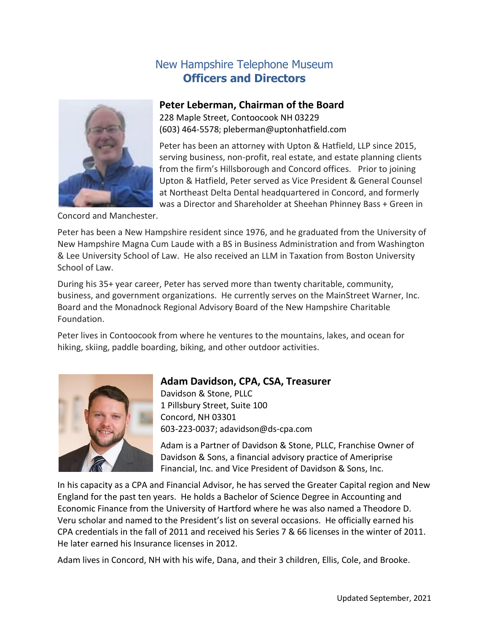# New Hampshire Telephone Museum **Officers and Directors**



## **Peter Leberman, Chairman of the Board**

228 Maple Street, Contoocook NH 03229 (603) 464-5578; pleberman@uptonhatfield.com

Peter has been an attorney with Upton & Hatfield, LLP since 2015, serving business, non-profit, real estate, and estate planning clients from the firm's Hillsborough and Concord offices. Prior to joining Upton & Hatfield, Peter served as Vice President & General Counsel at Northeast Delta Dental headquartered in Concord, and formerly was a Director and Shareholder at Sheehan Phinney Bass + Green in

Concord and Manchester.

Peter has been a New Hampshire resident since 1976, and he graduated from the University of New Hampshire Magna Cum Laude with a BS in Business Administration and from Washington & Lee University School of Law. He also received an LLM in Taxation from Boston University School of Law.

During his 35+ year career, Peter has served more than twenty charitable, community, business, and government organizations. He currently serves on the MainStreet Warner, Inc. Board and the Monadnock Regional Advisory Board of the New Hampshire Charitable Foundation.

Peter lives in Contoocook from where he ventures to the mountains, lakes, and ocean for hiking, skiing, paddle boarding, biking, and other outdoor activities.



# **Adam Davidson, CPA, CSA, Treasurer**

Davidson & Stone, PLLC 1 Pillsbury Street, Suite 100 Concord, NH 03301 603-223-0037; [adavidson@ds-cpa.com](mailto:adavidson@ds-cpa.com)

Adam is a Partner of Davidson & Stone, PLLC, Franchise Owner of Davidson & Sons, a financial advisory practice of Ameriprise Financial, Inc. and Vice President of Davidson & Sons, Inc.

In his capacity as a CPA and Financial Advisor, he has served the Greater Capital region and New England for the past ten years. He holds a Bachelor of Science Degree in Accounting and Economic Finance from the University of Hartford where he was also named a Theodore D. Veru scholar and named to the President's list on several occasions. He officially earned his CPA credentials in the fall of 2011 and received his Series 7 & 66 licenses in the winter of 2011. He later earned his Insurance licenses in 2012.

Adam lives in Concord, NH with his wife, Dana, and their 3 children, Ellis, Cole, and Brooke.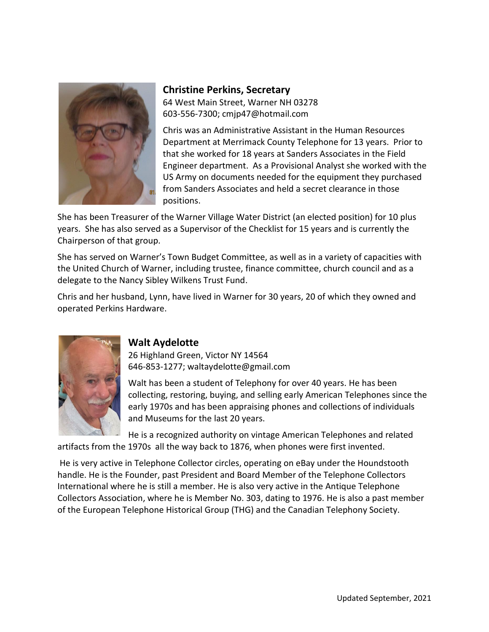

## **Christine Perkins, Secretary** 64 West Main Street, Warner NH 03278 603-556-7300; cmjp47@hotmail.com

Chris was an Administrative Assistant in the Human Resources Department at Merrimack County Telephone for 13 years. Prior to that she worked for 18 years at Sanders Associates in the Field Engineer department. As a Provisional Analyst she worked with the US Army on documents needed for the equipment they purchased from Sanders Associates and held a secret clearance in those positions.

She has been Treasurer of the Warner Village Water District (an elected position) for 10 plus years. She has also served as a Supervisor of the Checklist for 15 years and is currently the Chairperson of that group.

She has served on Warner's Town Budget Committee, as well as in a variety of capacities with the United Church of Warner, including trustee, finance committee, church council and as a delegate to the Nancy Sibley Wilkens Trust Fund.

Chris and her husband, Lynn, have lived in Warner for 30 years, 20 of which they owned and operated Perkins Hardware.



## **Walt Aydelotte**

26 Highland Green, Victor NY 14564 646-853-1277; waltaydelotte@gmail.com

Walt has been a student of Telephony for over 40 years. He has been collecting, restoring, buying, and selling early American Telephones since the early 1970s and has been appraising phones and collections of individuals and Museums for the last 20 years.

He is a recognized authority on vintage American Telephones and related artifacts from the 1970s all the way back to 1876, when phones were first invented.

He is very active in Telephone Collector circles, operating on eBay under the Houndstooth handle. He is the Founder, past President and Board Member of the Telephone Collectors International where he is still a member. He is also very active in the Antique Telephone Collectors Association, where he is Member No. 303, dating to 1976. He is also a past member of the European Telephone Historical Group (THG) and the Canadian Telephony Society.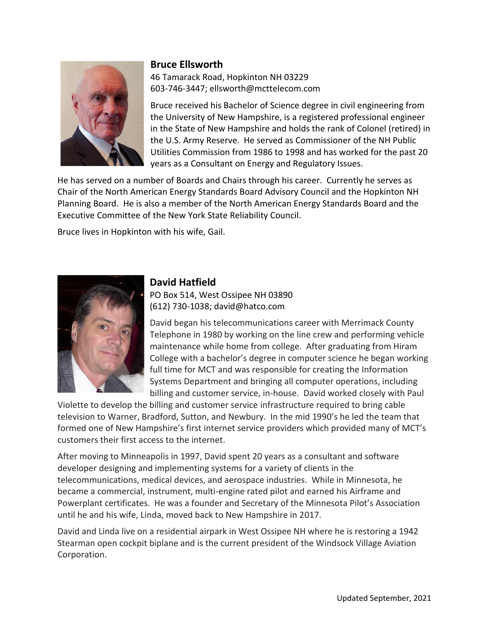#### **Bruce Ellsworth**



46 Tamarack Road, Hopkinton NH 03229 603-746-3447; [ellsworth@mcttelecom.com](mailto:ellsworth@mcttelecom.com)

Bruce received his Bachelor of Science degree in civil engineering from the University of New Hampshire, is a registered professional engineer in the State of New Hampshire and holds the rank of Colonel (retired) in the U.S. Army Reserve. He served as Commissioner of the NH Public Utilities Commission from 1986 to 1998 and has worked for the past 20 years as a Consultant on Energy and Regulatory Issues.

He has served on a number of Boards and Chairs through his career. Currently he serves as Chair of the North American Energy Standards Board Advisory Council and the Hopkinton NH Planning Board. He is also a member of the North American Energy Standards Board and the Executive Committee of the New York State Reliability Council.

Bruce lives in Hopkinton with his wife, Gail.



# **David Hatfield**

PO Box 514, West Ossipee NH 03890 (612) 730-1038; [david@hatco.com](mailto:david@hatco.com)

David began his telecommunications career with Merrimack County Telephone in 1980 by working on the line crew and performing vehicle maintenance while home from college. After graduating from Hiram College with a bachelor's degree in computer science he began working full time for MCT and was responsible for creating the Information Systems Department and bringing all computer operations, including billing and customer service, in-house. David worked closely with Paul

Violette to develop the billing and customer service infrastructure required to bring cable television to Warner, Bradford, Sutton, and Newbury. In the mid 1990's he led the team that formed one of New Hampshire's first internet service providers which provided many of MCT's customers their first access to the internet.

After moving to Minneapolis in 1997, David spent 20 years as a consultant and software developer designing and implementing systems for a variety of clients in the telecommunications, medical devices, and aerospace industries. While in Minnesota, he became a commercial, instrument, multi-engine rated pilot and earned his Airframe and Powerplant certificates. He was a founder and Secretary of the Minnesota Pilot's Association until he and his wife, Linda, moved back to New Hampshire in 2017.

David and Linda live on a residential airpark in West Ossipee NH where he is restoring a 1942 Stearman open cockpit biplane and is the current president of the Windsock Village Aviation Corporation.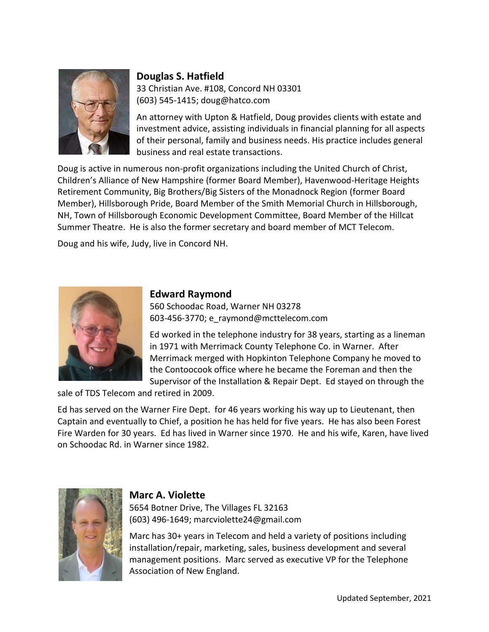

# **Douglas S. Hatfield**

33 Christian Ave. #108, Concord NH 03301 (603) 545-1415; doug@hatco.com

An attorney with Upton & Hatfield, Doug provides clients with estate and investment advice, assisting individuals in financial planning for all aspects of their personal, family and business needs. His practice includes general business and real estate transactions.

Doug is active in numerous non-profit organizations including the United Church of Christ, Children's Alliance of New Hampshire (former Board Member), Havenwood-Heritage Heights Retirement Community, Big Brothers/Big Sisters of the Monadnock Region (former Board Member), Hillsborough Pride, Board Member of the Smith Memorial Church in Hillsborough, NH, Town of Hillsborough Economic Development Committee, Board Member of the Hillcat Summer Theatre. He is also the former secretary and board member of MCT Telecom.

Doug and his wife, Judy, live in Concord NH.



## **Edward Raymond**

560 Schoodac Road, Warner NH 03278 603-456-3770; e\_raymond@mcttelecom.com

Ed worked in the telephone industry for 38 years, starting as a lineman in 1971 with Merrimack County Telephone Co. in Warner. After Merrimack merged with Hopkinton Telephone Company he moved to the Contoocook office where he became the Foreman and then the Supervisor of the Installation & Repair Dept. Ed stayed on through the

sale of TDS Telecom and retired in 2009.

Ed has served on the Warner Fire Dept. for 46 years working his way up to Lieutenant, then Captain and eventually to Chief, a position he has held for five years. He has also been Forest Fire Warden for 30 years. Ed has lived in Warner since 1970. He and his wife, Karen, have lived on Schoodac Rd. in Warner since 1982.



#### **Marc A. Violette**

5654 Botner Drive, The Villages FL 32163 (603) 496-1649; marcviolette24@gmail.com

Marc has 30+ years in Telecom and held a variety of positions including installation/repair, marketing, sales, business development and several management positions. Marc served as executive VP for the Telephone Association of New England.